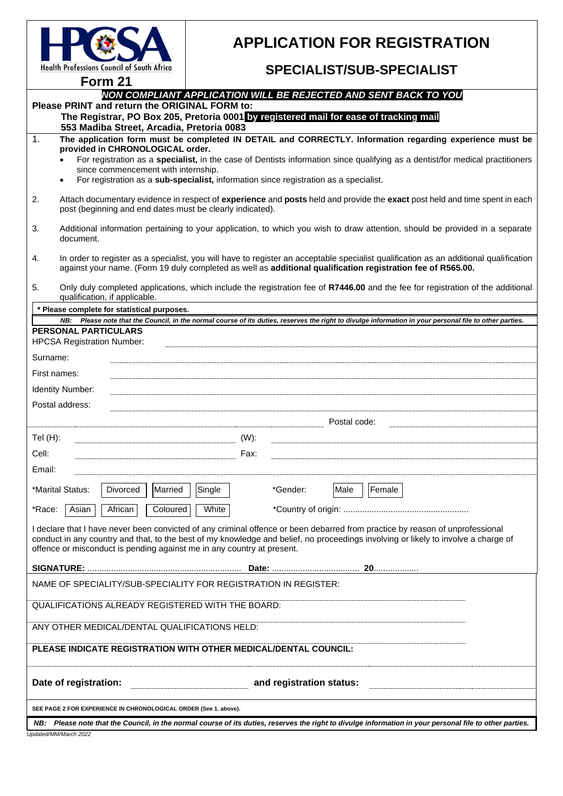

# **APPLICATION FOR REGISTRATION**

## **SPECIALIST/SUB-SPECIALIST**

**Form 21**

## *NON COMPLIANT APPLICATION WILL BE REJECTED AND SENT BACK TO YOU*

| Please PRINT and return the ORIGINAL FORM to:<br>The Registrar, PO Box 205, Pretoria 0001 by registered mail for ease of tracking mail<br>553 Madiba Street, Arcadia, Pretoria 0083                                                                                                                                                           |                                                                                                                                                                                                                                                                                                                                                                                                                            |  |  |  |  |  |  |  |
|-----------------------------------------------------------------------------------------------------------------------------------------------------------------------------------------------------------------------------------------------------------------------------------------------------------------------------------------------|----------------------------------------------------------------------------------------------------------------------------------------------------------------------------------------------------------------------------------------------------------------------------------------------------------------------------------------------------------------------------------------------------------------------------|--|--|--|--|--|--|--|
| 1.                                                                                                                                                                                                                                                                                                                                            | The application form must be completed IN DETAIL and CORRECTLY. Information regarding experience must be<br>provided in CHRONOLOGICAL order.<br>For registration as a specialist, in the case of Dentists information since qualifying as a dentist/for medical practitioners<br>since commencement with internship.<br>For registration as a sub-specialist, information since registration as a specialist.<br>$\bullet$ |  |  |  |  |  |  |  |
| 2.                                                                                                                                                                                                                                                                                                                                            | Attach documentary evidence in respect of experience and posts held and provide the exact post held and time spent in each<br>post (beginning and end dates must be clearly indicated).                                                                                                                                                                                                                                    |  |  |  |  |  |  |  |
| 3.                                                                                                                                                                                                                                                                                                                                            | Additional information pertaining to your application, to which you wish to draw attention, should be provided in a separate<br>document.                                                                                                                                                                                                                                                                                  |  |  |  |  |  |  |  |
| 4.                                                                                                                                                                                                                                                                                                                                            | In order to register as a specialist, you will have to register an acceptable specialist qualification as an additional qualification<br>against your name. (Form 19 duly completed as well as additional qualification registration fee of R565.00.                                                                                                                                                                       |  |  |  |  |  |  |  |
| 5.                                                                                                                                                                                                                                                                                                                                            | Only duly completed applications, which include the registration fee of R7446.00 and the fee for registration of the additional<br>qualification, if applicable.                                                                                                                                                                                                                                                           |  |  |  |  |  |  |  |
| * Please complete for statistical purposes.                                                                                                                                                                                                                                                                                                   |                                                                                                                                                                                                                                                                                                                                                                                                                            |  |  |  |  |  |  |  |
|                                                                                                                                                                                                                                                                                                                                               | NB: Please note that the Council, in the normal course of its duties, reserves the right to divulge information in your personal file to other parties.                                                                                                                                                                                                                                                                    |  |  |  |  |  |  |  |
| <b>PERSONAL PARTICULARS</b><br><b>HPCSA Registration Number:</b>                                                                                                                                                                                                                                                                              |                                                                                                                                                                                                                                                                                                                                                                                                                            |  |  |  |  |  |  |  |
| Surname:                                                                                                                                                                                                                                                                                                                                      |                                                                                                                                                                                                                                                                                                                                                                                                                            |  |  |  |  |  |  |  |
| First names:                                                                                                                                                                                                                                                                                                                                  |                                                                                                                                                                                                                                                                                                                                                                                                                            |  |  |  |  |  |  |  |
| <b>Identity Number:</b>                                                                                                                                                                                                                                                                                                                       |                                                                                                                                                                                                                                                                                                                                                                                                                            |  |  |  |  |  |  |  |
| Postal address:                                                                                                                                                                                                                                                                                                                               |                                                                                                                                                                                                                                                                                                                                                                                                                            |  |  |  |  |  |  |  |
|                                                                                                                                                                                                                                                                                                                                               | Postal code:                                                                                                                                                                                                                                                                                                                                                                                                               |  |  |  |  |  |  |  |
| Tel $(H)$ :                                                                                                                                                                                                                                                                                                                                   | $(W)$ :                                                                                                                                                                                                                                                                                                                                                                                                                    |  |  |  |  |  |  |  |
| Cell:                                                                                                                                                                                                                                                                                                                                         | Fax:                                                                                                                                                                                                                                                                                                                                                                                                                       |  |  |  |  |  |  |  |
| Email:                                                                                                                                                                                                                                                                                                                                        |                                                                                                                                                                                                                                                                                                                                                                                                                            |  |  |  |  |  |  |  |
|                                                                                                                                                                                                                                                                                                                                               | Female<br>*Marital Status:<br>Married<br>Single<br>*Gender:<br>Divorced<br> Male                                                                                                                                                                                                                                                                                                                                           |  |  |  |  |  |  |  |
| *Race:                                                                                                                                                                                                                                                                                                                                        | Coloured<br>White<br>Asian<br>African                                                                                                                                                                                                                                                                                                                                                                                      |  |  |  |  |  |  |  |
| I declare that I have never been convicted of any criminal offence or been debarred from practice by reason of unprofessional<br>conduct in any country and that, to the best of my knowledge and belief, no proceedings involving or likely to involve a charge of<br>offence or misconduct is pending against me in any country at present. |                                                                                                                                                                                                                                                                                                                                                                                                                            |  |  |  |  |  |  |  |
|                                                                                                                                                                                                                                                                                                                                               |                                                                                                                                                                                                                                                                                                                                                                                                                            |  |  |  |  |  |  |  |
| NAME OF SPECIALITY/SUB-SPECIALITY FOR REGISTRATION IN REGISTER:                                                                                                                                                                                                                                                                               |                                                                                                                                                                                                                                                                                                                                                                                                                            |  |  |  |  |  |  |  |
| QUALIFICATIONS ALREADY REGISTERED WITH THE BOARD:                                                                                                                                                                                                                                                                                             |                                                                                                                                                                                                                                                                                                                                                                                                                            |  |  |  |  |  |  |  |
| ANY OTHER MEDICAL/DENTAL QUALIFICATIONS HELD:                                                                                                                                                                                                                                                                                                 |                                                                                                                                                                                                                                                                                                                                                                                                                            |  |  |  |  |  |  |  |
| PLEASE INDICATE REGISTRATION WITH OTHER MEDICAL/DENTAL COUNCIL:                                                                                                                                                                                                                                                                               |                                                                                                                                                                                                                                                                                                                                                                                                                            |  |  |  |  |  |  |  |
|                                                                                                                                                                                                                                                                                                                                               | Date of registration:<br>and registration status:                                                                                                                                                                                                                                                                                                                                                                          |  |  |  |  |  |  |  |
| SEE PAGE 2 FOR EXPERIENCE IN CHRONOLOGICAL ORDER (See 1. above).                                                                                                                                                                                                                                                                              |                                                                                                                                                                                                                                                                                                                                                                                                                            |  |  |  |  |  |  |  |
| NB: Please note that the Council, in the normal course of its duties, reserves the right to divulge information in your personal file to other parties.                                                                                                                                                                                       |                                                                                                                                                                                                                                                                                                                                                                                                                            |  |  |  |  |  |  |  |

*Updated/MM/March 2022*